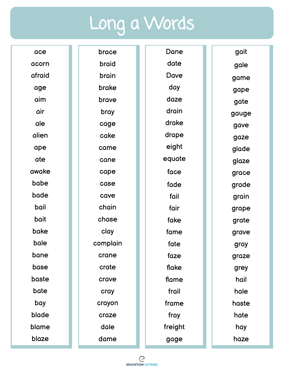## Long a Words

| ace    | brace    | Dane    | gait  |
|--------|----------|---------|-------|
| acorn  | braid    | date    | gale  |
| afraid | brain    | Dave    | game  |
| age    | brake    | day     | gape  |
| aim    | brave    | daze    | gate  |
| air    | bray     | drain   | gauge |
| ale    | cage     | drake   | gave  |
| alien  | cake     | drape   | gaze  |
| ape    | came     | eight   | glade |
| ate    | cane     | equate  | glaze |
| awake  | cape     | face    | grace |
| babe   | case     | fade    | grade |
| bade   | cave     | fail    | grain |
| bail   | chain    | fair    | grape |
| bait   | chase    | fake    | grate |
| bake   | clay     | fame    | grave |
| bale   | complain | fate    | gray  |
| bane   | crane    | faze    | graze |
| base   | crate    | flake   | grey  |
| baste  | crave    | flame   | hail  |
| bate   | cray     | frail   | hale  |
| bay    | crayon   | frame   | haste |
| blade  | craze    | fray    | hate  |
| blame  | dale     | freight | hay   |
| blaze  | dame     | gage    | haze  |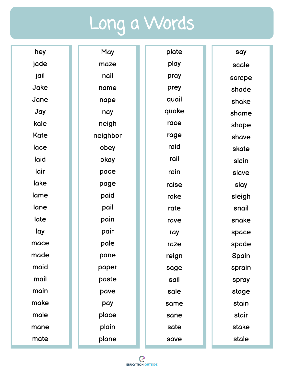## Long a Words

| hey         | May      | plate | say    |
|-------------|----------|-------|--------|
| jade        | maze     | play  | scale  |
| jail        | nail     | pray  | scrape |
| Jake        | name     | prey  | shade  |
| Jane        | nape     | quail | shake  |
| Jay         | nay      | quake | shame  |
| kale        | neigh    | race  | shape  |
| <b>Kate</b> | neighbor | rage  | shave  |
| lace        | obey     | raid  | skate  |
| laid        | okay     | rail  | slain  |
| lair        | pace     | rain  | slave  |
| lake        | page     | raise | slay   |
| lame        | paid     | rake  | sleigh |
| lane        | pail     | rate  | snail  |
| late        | pain     | rave  | snake  |
| lay         | pair     | ray   | space  |
| mace        | pale     | raze  | spade  |
| made        | pane     | reign | Spain  |
| maid        | paper    | sage  | sprain |
| mail        | paste    | sail  | spray  |
| main        | pave     | sale  | stage  |
| make        | pay      | same  | stain  |
| male        | place    | sane  | stair  |
| mane        | plain    | sate  | stake  |
| mate        | plane    | save  | stale  |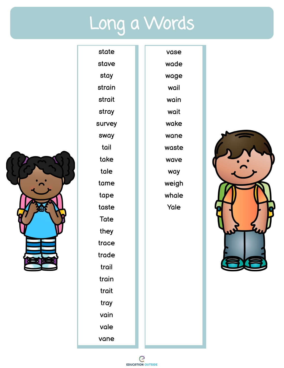## Long a Words



state stave stay strain strait stray survey sway tail take tale tame tape taste Tate they trace trade trail train trait tray vain vale vane

wade wage wail wain wait wake wane waste wave way weigh whale Yale

vase